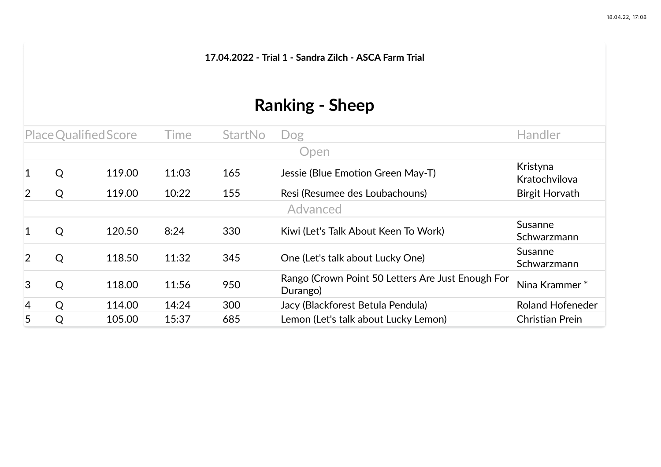**17.04.2022 - Trial 1 - Sandra Zilch - ASCA Farm Trial**

## **Ranking - Sheep**

| Place Qualified Score |   |        | Time  | <b>StartNo</b> | Dog                                                           | <b>Handler</b>            |
|-----------------------|---|--------|-------|----------------|---------------------------------------------------------------|---------------------------|
|                       |   |        |       |                | Open                                                          |                           |
| $\vert$ 1             | Q | 119.00 | 11:03 | 165            | Jessie (Blue Emotion Green May-T)                             | Kristyna<br>Kratochvilova |
| $\overline{2}$        | Q | 119.00 | 10:22 | 155            | Resi (Resumee des Loubachouns)                                | Birgit Horvath            |
|                       |   |        |       |                | Advanced                                                      |                           |
| $\mathbf{1}$          | Q | 120.50 | 8:24  | 330            | Kiwi (Let's Talk About Keen To Work)                          | Susanne<br>Schwarzmann    |
| $\overline{2}$        | Q | 118.50 | 11:32 | 345            | One (Let's talk about Lucky One)                              | Susanne<br>Schwarzmann    |
| $\overline{3}$        | Q | 118.00 | 11:56 | 950            | Rango (Crown Point 50 Letters Are Just Enough For<br>Durango) | Nina Krammer*             |
| $\vert 4 \vert$       | Q | 114.00 | 14:24 | 300            | Jacy (Blackforest Betula Pendula)                             | <b>Roland Hofeneder</b>   |
| 5                     | Q | 105.00 | 15:37 | 685            | Lemon (Let's talk about Lucky Lemon)                          | Christian Prein           |